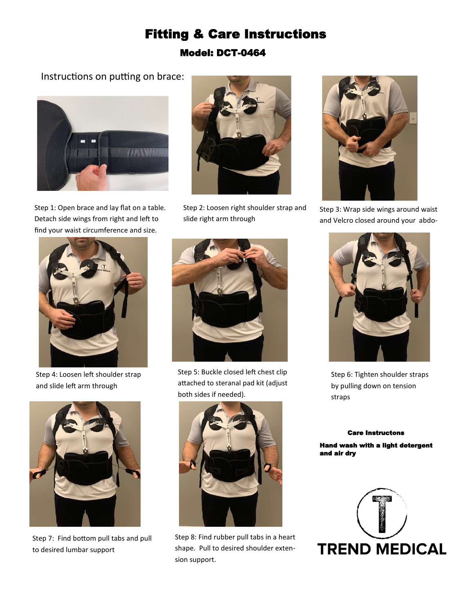## Fitting & Care Instructions Model: DCT-0464

## Instructions on putting on brace:



Step 1: Open brace and lay flat on a table. Detach side wings from right and left to find your waist circumference and size.



Step 2: Loosen right shoulder strap and slide right arm through



Step 3: Wrap side wings around waist and Velcro closed around your abdo-



Step 4: Loosen left shoulder strap and slide left arm through



Step 7: Find bottom pull tabs and pull to desired lumbar support



Step 5: Buckle closed left chest clip attached to steranal pad kit (adjust both sides if needed).



Step 8: Find rubber pull tabs in a heart shape. Pull to desired shoulder extension support.



Step 6: Tighten shoulder straps by pulling down on tension straps

## Care Instructons

Hand wash with a light detergent and air dry